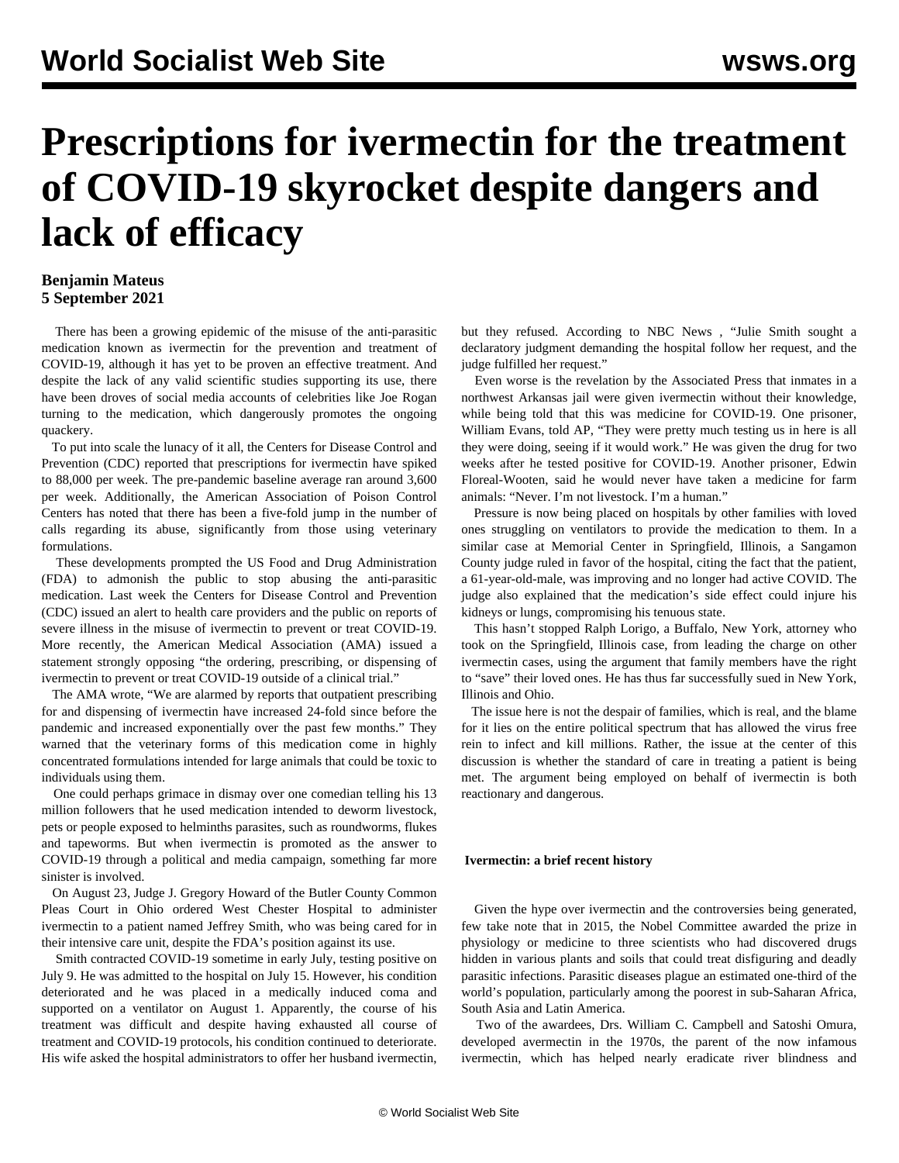# **Prescriptions for ivermectin for the treatment of COVID-19 skyrocket despite dangers and lack of efficacy**

### **Benjamin Mateus 5 September 2021**

 There has been a growing epidemic of the misuse of the anti-parasitic medication known as ivermectin for the prevention and treatment of COVID-19, although it has yet to be proven an effective treatment. And despite the lack of any valid scientific studies supporting its use, there have been droves of social media accounts of celebrities like Joe Rogan turning to the medication, which dangerously promotes the ongoing quackery.

 To put into scale the lunacy of it all, the Centers for Disease Control and Prevention (CDC) reported that prescriptions for ivermectin have spiked to 88,000 per week. The pre-pandemic baseline average ran around 3,600 per week. Additionally, the American Association of Poison Control Centers has noted that there has been a five-fold jump in the number of calls regarding its abuse, significantly from those using veterinary formulations.

 These developments prompted the US Food and Drug Administration (FDA) to admonish the public to stop abusing the anti-parasitic medication. Last week the Centers for Disease Control and Prevention (CDC) issued an alert to health care providers and the public on reports of severe illness in the misuse of ivermectin to prevent or treat COVID-19. More recently, the American Medical Association (AMA) issued a statement strongly opposing "the ordering, prescribing, or dispensing of ivermectin to prevent or treat COVID-19 outside of a clinical trial."

 The AMA wrote, "We are alarmed by reports that outpatient prescribing for and dispensing of ivermectin have increased 24-fold since before the pandemic and increased exponentially over the past few months." They warned that the veterinary forms of this medication come in highly concentrated formulations intended for large animals that could be toxic to individuals using them.

 One could perhaps grimace in dismay over one comedian telling his 13 million followers that he used medication intended to deworm livestock, pets or people exposed to helminths parasites, such as roundworms, flukes and tapeworms. But when ivermectin is promoted as the answer to COVID-19 through a political and media campaign, something far more sinister is involved.

 On August 23, Judge J. Gregory Howard of the Butler County Common Pleas Court in Ohio ordered West Chester Hospital to administer ivermectin to a patient named Jeffrey Smith, who was being cared for in their intensive care unit, despite the FDA's position against its use.

 Smith contracted COVID-19 sometime in early July, testing positive on July 9. He was admitted to the hospital on July 15. However, his condition deteriorated and he was placed in a medically induced coma and supported on a ventilator on August 1. Apparently, the course of his treatment was difficult and despite having exhausted all course of treatment and COVID-19 protocols, his condition continued to deteriorate. His wife asked the hospital administrators to offer her husband ivermectin,

but they refused. According to NBC News *,* "Julie Smith sought a declaratory judgment demanding the hospital follow her request, and the judge fulfilled her request."

 Even worse is the revelation by the Associated Press that inmates in a northwest Arkansas jail were given ivermectin without their knowledge, while being told that this was medicine for COVID-19. One prisoner, William Evans, told AP, "They were pretty much testing us in here is all they were doing, seeing if it would work." He was given the drug for two weeks after he tested positive for COVID-19. Another prisoner, Edwin Floreal-Wooten, said he would never have taken a medicine for farm animals: "Never. I'm not livestock. I'm a human."

 Pressure is now being placed on hospitals by other families with loved ones struggling on ventilators to provide the medication to them. In a similar case at Memorial Center in Springfield, Illinois, a Sangamon County judge ruled in favor of the hospital, citing the fact that the patient, a 61-year-old-male, was improving and no longer had active COVID. The judge also explained that the medication's side effect could injure his kidneys or lungs, compromising his tenuous state.

 This hasn't stopped Ralph Lorigo, a Buffalo, New York, attorney who took on the Springfield, Illinois case, from leading the charge on other ivermectin cases, using the argument that family members have the right to "save" their loved ones. He has thus far successfully sued in New York, Illinois and Ohio.

 The issue here is not the despair of families, which is real, and the blame for it lies on the entire political spectrum that has allowed the virus free rein to infect and kill millions. Rather, the issue at the center of this discussion is whether the standard of care in treating a patient is being met. The argument being employed on behalf of ivermectin is both reactionary and dangerous.

#### **Ivermectin: a brief recent history**

 Given the hype over ivermectin and the controversies being generated, few take note that in 2015, the Nobel Committee awarded the prize in physiology or medicine to three scientists who had discovered drugs hidden in various plants and soils that could treat disfiguring and deadly parasitic infections. Parasitic diseases plague an estimated one-third of the world's population, particularly among the poorest in sub-Saharan Africa, South Asia and Latin America.

 Two of the awardees, Drs. William C. Campbell and Satoshi Omura, developed avermectin in the 1970s, the parent of the now infamous ivermectin, which has helped nearly eradicate river blindness and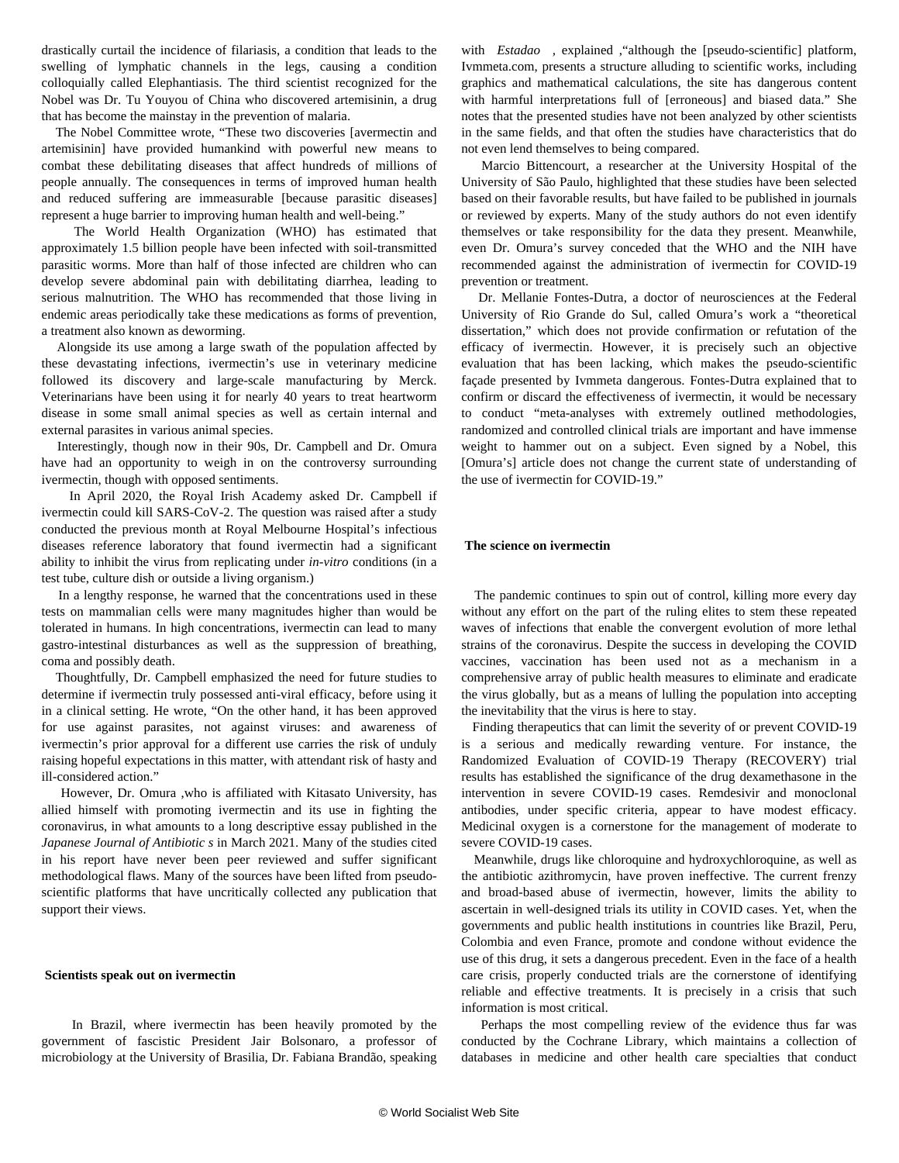drastically curtail the incidence of filariasis, a condition that leads to the swelling of lymphatic channels in the legs, causing a condition colloquially called Elephantiasis. The third scientist recognized for the Nobel was Dr. Tu Youyou of China who discovered artemisinin, a drug that has become the mainstay in the prevention of malaria.

 The Nobel Committee wrote, "These two discoveries [avermectin and artemisinin] have provided humankind with powerful new means to combat these debilitating diseases that affect hundreds of millions of people annually. The consequences in terms of improved human health and reduced suffering are immeasurable [because parasitic diseases] represent a huge barrier to improving human health and well-being."

 The World Health Organization (WHO) has estimated that approximately 1.5 billion people have been infected with soil-transmitted parasitic worms. More than half of those infected are children who can develop severe abdominal pain with debilitating diarrhea, leading to serious malnutrition. The WHO has recommended that those living in endemic areas periodically take these medications as forms of prevention, a treatment also known as deworming.

 Alongside its use among a large swath of the population affected by these devastating infections, ivermectin's use in veterinary medicine followed its discovery and large-scale manufacturing by Merck. Veterinarians have been using it for nearly 40 years to treat heartworm disease in some small animal species as well as certain internal and external parasites in various animal species.

 Interestingly, though now in their 90s, Dr. Campbell and Dr. Omura have had an opportunity to weigh in on the controversy surrounding ivermectin, though with opposed sentiments.

 In April 2020, the Royal Irish Academy asked Dr. Campbell if ivermectin could kill SARS-CoV-2. The question was raised after a [study](https://www.sciencedirect.com/science/article/pii/S0166354220302011) conducted the previous month at Royal Melbourne Hospital's infectious diseases reference laboratory that found ivermectin had a significant ability to inhibit the virus from replicating under *in-vitro* conditions (in a test tube, culture dish or outside a living organism.)

 In a lengthy [response](https://www.ria.ie/news/publications-covid-19-research-response/does-ivermectin-kill-covid-19-virus), he warned that the concentrations used in these tests on mammalian cells were many magnitudes higher than would be tolerated in humans. In high concentrations, ivermectin can lead to many gastro-intestinal disturbances as well as the suppression of breathing, coma and possibly death.

 Thoughtfully, Dr. Campbell emphasized the need for future studies to determine if ivermectin truly possessed anti-viral efficacy, before using it in a clinical setting. He wrote, "On the other hand, it has been approved for use against parasites, not against viruses: and awareness of ivermectin's prior approval for a different use carries the risk of unduly raising hopeful expectations in this matter, with attendant risk of hasty and ill-considered action."

 However, Dr. Omura ,who is affiliated with Kitasato University, has allied himself with promoting ivermectin and its use in fighting the coronavirus, in what amounts to a long descriptive [essay](http://jja-contents.wdc-jp.com/pdf/JJA74/74-1-open/74-1_44-95.pdf) published in the *Japanese Journal of Antibiotic s* in March 2021. Many of the studies cited in his report have never been peer reviewed and suffer significant methodological flaws. Many of the sources have been lifted from pseudoscientific platforms that have uncritically collected any publication that support their views.

#### **Scientists speak out on ivermectin**

 In Brazil, where ivermectin has been heavily promoted by the government of fascistic President Jair Bolsonaro, a professor of microbiology at the University of Brasilia, Dr. Fabiana Brandão, speaking with *[Estadao](https://politica.estadao.com.br/blogs/estadao-verifica/texto-de-vencedor-do-nobel-nao-comprova-eficacia-da-ivermectina-contra-covid-19/) ,* explained ,"although the [pseudo-scientific] platform, Ivmmeta.com, presents a structure alluding to scientific works, including graphics and mathematical calculations, the site has dangerous content with harmful interpretations full of [erroneous] and biased data." She notes that the presented studies have not been analyzed by other scientists in the same fields, and that often the studies have characteristics that do not even lend themselves to being compared.

 Marcio Bittencourt, a researcher at the University Hospital of the University of São Paulo, highlighted that these studies have been selected based on their favorable results, but have failed to be published in journals or reviewed by experts. Many of the study authors do not even identify themselves or take responsibility for the data they present. Meanwhile, even Dr. Omura's survey conceded that the WHO and the NIH have recommended against the administration of ivermectin for COVID-19 prevention or treatment.

 Dr. Mellanie Fontes-Dutra, a doctor of neurosciences at the Federal University of Rio Grande do Sul, called Omura's work a "theoretical dissertation," which does not provide confirmation or refutation of the efficacy of ivermectin. However, it is precisely such an objective evaluation that has been lacking, which makes the pseudo-scientific façade presented by Ivmmeta dangerous. Fontes-Dutra explained that to confirm or discard the effectiveness of ivermectin, it would be necessary to conduct "meta-analyses with extremely outlined methodologies, randomized and controlled clinical trials are important and have immense weight to hammer out on a subject. Even signed by a Nobel, this [Omura's] article does not change the current state of understanding of the use of ivermectin for COVID-19."

#### **The science on ivermectin**

 The pandemic continues to spin out of control, killing more every day without any effort on the part of the ruling elites to stem these repeated waves of infections that enable the convergent evolution of more lethal strains of the coronavirus. Despite the success in developing the COVID vaccines, vaccination has been used not as a mechanism in a comprehensive array of public health measures to eliminate and eradicate the virus globally, but as a means of lulling the population into accepting the inevitability that the virus is here to stay.

 Finding therapeutics that can limit the severity of or prevent COVID-19 is a serious and medically rewarding venture. For instance, the Randomized Evaluation of COVID-19 Therapy (RECOVERY) trial results has established the significance of the drug dexamethasone in the intervention in severe COVID-19 cases. Remdesivir and monoclonal antibodies, under specific criteria, appear to have modest efficacy. Medicinal oxygen is a cornerstone for the management of moderate to severe COVID-19 cases.

 Meanwhile, drugs like chloroquine and hydroxychloroquine, as well as the antibiotic azithromycin, have proven ineffective. The current frenzy and broad-based abuse of ivermectin, however, limits the ability to ascertain in well-designed trials its utility in COVID cases. Yet, when the governments and public health institutions in countries like Brazil, Peru, Colombia and even France, promote and condone without evidence the use of this drug, it sets a dangerous precedent. Even in the face of a health care crisis, properly conducted trials are the cornerstone of identifying reliable and effective treatments. It is precisely in a crisis that such information is most critical.

 Perhaps the most compelling review of the evidence thus far was conducted by the Cochrane Library, which maintains a collection of databases in medicine and other health care specialties that conduct